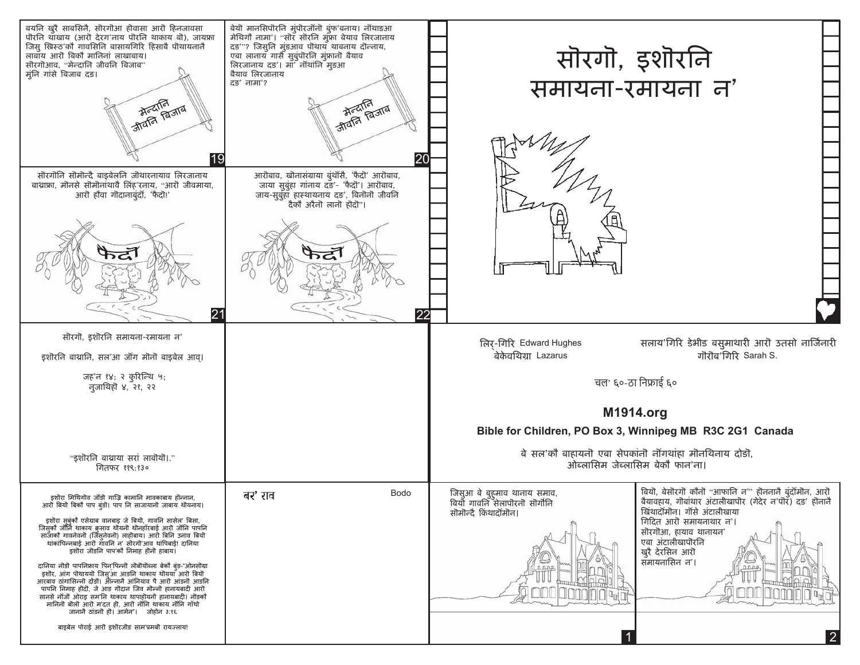